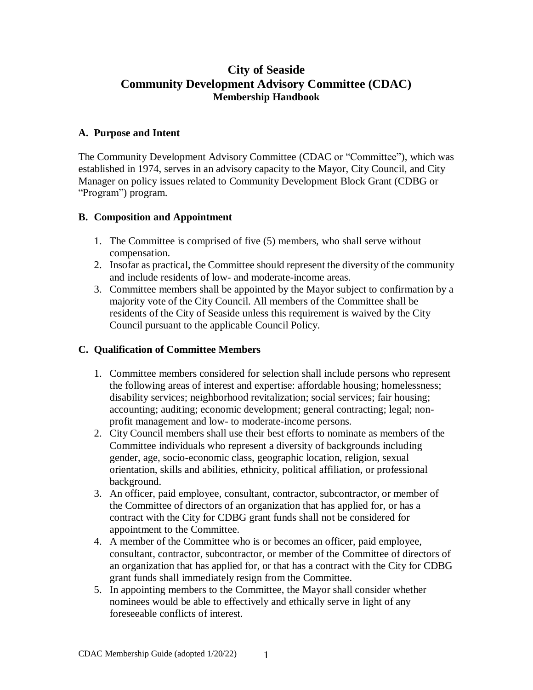# **City of Seaside Community Development Advisory Committee (CDAC) Membership Handbook**

#### **A. Purpose and Intent**

The Community Development Advisory Committee (CDAC or "Committee"), which was established in 1974, serves in an advisory capacity to the Mayor, City Council, and City Manager on policy issues related to Community Development Block Grant (CDBG or "Program") program.

### **B. Composition and Appointment**

- 1. The Committee is comprised of five (5) members, who shall serve without compensation.
- 2. Insofar as practical, the Committee should represent the diversity of the community and include residents of low- and moderate-income areas.
- 3. Committee members shall be appointed by the Mayor subject to confirmation by a majority vote of the City Council. All members of the Committee shall be residents of the City of Seaside unless this requirement is waived by the City Council pursuant to the applicable Council Policy.

### **C. Qualification of Committee Members**

- 1. Committee members considered for selection shall include persons who represent the following areas of interest and expertise: affordable housing; homelessness; disability services; neighborhood revitalization; social services; fair housing; accounting; auditing; economic development; general contracting; legal; nonprofit management and low- to moderate-income persons.
- 2. City Council members shall use their best efforts to nominate as members of the Committee individuals who represent a diversity of backgrounds including gender, age, socio-economic class, geographic location, religion, sexual orientation, skills and abilities, ethnicity, political affiliation, or professional background.
- 3. An officer, paid employee, consultant, contractor, subcontractor, or member of the Committee of directors of an organization that has applied for, or has a contract with the City for CDBG grant funds shall not be considered for appointment to the Committee.
- 4. A member of the Committee who is or becomes an officer, paid employee, consultant, contractor, subcontractor, or member of the Committee of directors of an organization that has applied for, or that has a contract with the City for CDBG grant funds shall immediately resign from the Committee.
- 5. In appointing members to the Committee, the Mayor shall consider whether nominees would be able to effectively and ethically serve in light of any foreseeable conflicts of interest.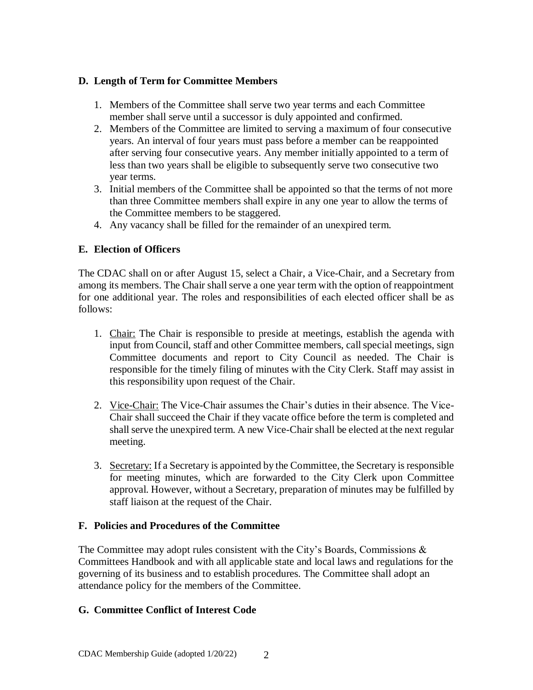### **D. Length of Term for Committee Members**

- 1. Members of the Committee shall serve two year terms and each Committee member shall serve until a successor is duly appointed and confirmed.
- 2. Members of the Committee are limited to serving a maximum of four consecutive years. An interval of four years must pass before a member can be reappointed after serving four consecutive years. Any member initially appointed to a term of less than two years shall be eligible to subsequently serve two consecutive two year terms.
- 3. Initial members of the Committee shall be appointed so that the terms of not more than three Committee members shall expire in any one year to allow the terms of the Committee members to be staggered.
- 4. Any vacancy shall be filled for the remainder of an unexpired term.

## **E. Election of Officers**

The CDAC shall on or after August 15, select a Chair, a Vice-Chair, and a Secretary from among its members. The Chair shall serve a one year term with the option of reappointment for one additional year. The roles and responsibilities of each elected officer shall be as follows:

- 1. Chair: The Chair is responsible to preside at meetings, establish the agenda with input from Council, staff and other Committee members, call special meetings, sign Committee documents and report to City Council as needed. The Chair is responsible for the timely filing of minutes with the City Clerk. Staff may assist in this responsibility upon request of the Chair.
- 2. Vice-Chair: The Vice-Chair assumes the Chair's duties in their absence. The Vice-Chair shall succeed the Chair if they vacate office before the term is completed and shall serve the unexpired term. A new Vice-Chair shall be elected at the next regular meeting.
- 3. Secretary: If a Secretary is appointed by the Committee, the Secretary is responsible for meeting minutes, which are forwarded to the City Clerk upon Committee approval. However, without a Secretary, preparation of minutes may be fulfilled by staff liaison at the request of the Chair.

### **F. Policies and Procedures of the Committee**

The Committee may adopt rules consistent with the City's Boards, Commissions  $\&$ Committees Handbook and with all applicable state and local laws and regulations for the governing of its business and to establish procedures. The Committee shall adopt an attendance policy for the members of the Committee.

### **G. Committee Conflict of Interest Code**